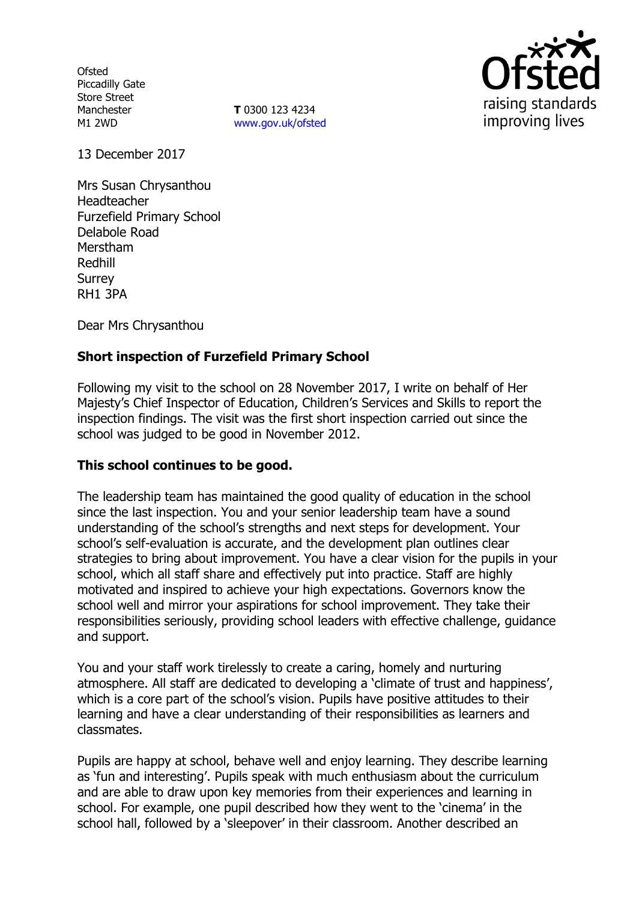**Ofsted** Piccadilly Gate Store Street Manchester M1 2WD

**T** 0300 123 4234 www.gov.uk/ofsted



13 December 2017

Mrs Susan Chrysanthou Headteacher Furzefield Primary School Delabole Road Merstham Redhill **Surrey** RH1 3PA

Dear Mrs Chrysanthou

# **Short inspection of Furzefield Primary School**

Following my visit to the school on 28 November 2017, I write on behalf of Her Majesty's Chief Inspector of Education, Children's Services and Skills to report the inspection findings. The visit was the first short inspection carried out since the school was judged to be good in November 2012.

### **This school continues to be good.**

The leadership team has maintained the good quality of education in the school since the last inspection. You and your senior leadership team have a sound understanding of the school's strengths and next steps for development. Your school's self-evaluation is accurate, and the development plan outlines clear strategies to bring about improvement. You have a clear vision for the pupils in your school, which all staff share and effectively put into practice. Staff are highly motivated and inspired to achieve your high expectations. Governors know the school well and mirror your aspirations for school improvement. They take their responsibilities seriously, providing school leaders with effective challenge, guidance and support.

You and your staff work tirelessly to create a caring, homely and nurturing atmosphere. All staff are dedicated to developing a 'climate of trust and happiness', which is a core part of the school's vision. Pupils have positive attitudes to their learning and have a clear understanding of their responsibilities as learners and classmates.

Pupils are happy at school, behave well and enjoy learning. They describe learning as 'fun and interesting'. Pupils speak with much enthusiasm about the curriculum and are able to draw upon key memories from their experiences and learning in school. For example, one pupil described how they went to the 'cinema' in the school hall, followed by a 'sleepover' in their classroom. Another described an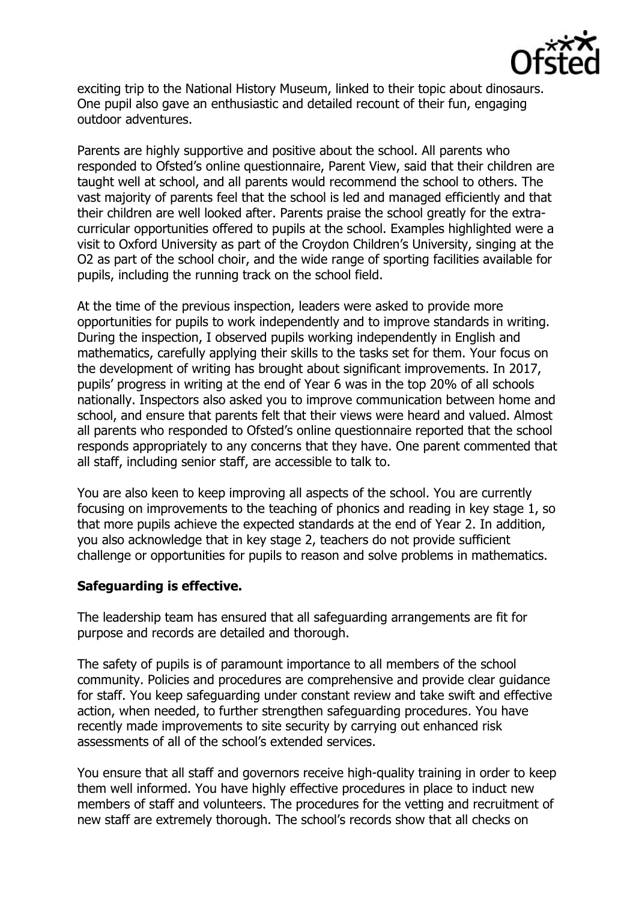

exciting trip to the National History Museum, linked to their topic about dinosaurs. One pupil also gave an enthusiastic and detailed recount of their fun, engaging outdoor adventures.

Parents are highly supportive and positive about the school. All parents who responded to Ofsted's online questionnaire, Parent View, said that their children are taught well at school, and all parents would recommend the school to others. The vast majority of parents feel that the school is led and managed efficiently and that their children are well looked after. Parents praise the school greatly for the extracurricular opportunities offered to pupils at the school. Examples highlighted were a visit to Oxford University as part of the Croydon Children's University, singing at the O2 as part of the school choir, and the wide range of sporting facilities available for pupils, including the running track on the school field.

At the time of the previous inspection, leaders were asked to provide more opportunities for pupils to work independently and to improve standards in writing. During the inspection, I observed pupils working independently in English and mathematics, carefully applying their skills to the tasks set for them. Your focus on the development of writing has brought about significant improvements. In 2017, pupils' progress in writing at the end of Year 6 was in the top 20% of all schools nationally. Inspectors also asked you to improve communication between home and school, and ensure that parents felt that their views were heard and valued. Almost all parents who responded to Ofsted's online questionnaire reported that the school responds appropriately to any concerns that they have. One parent commented that all staff, including senior staff, are accessible to talk to.

You are also keen to keep improving all aspects of the school. You are currently focusing on improvements to the teaching of phonics and reading in key stage 1, so that more pupils achieve the expected standards at the end of Year 2. In addition, you also acknowledge that in key stage 2, teachers do not provide sufficient challenge or opportunities for pupils to reason and solve problems in mathematics.

### **Safeguarding is effective.**

The leadership team has ensured that all safeguarding arrangements are fit for purpose and records are detailed and thorough.

The safety of pupils is of paramount importance to all members of the school community. Policies and procedures are comprehensive and provide clear guidance for staff. You keep safeguarding under constant review and take swift and effective action, when needed, to further strengthen safeguarding procedures. You have recently made improvements to site security by carrying out enhanced risk assessments of all of the school's extended services.

You ensure that all staff and governors receive high-quality training in order to keep them well informed. You have highly effective procedures in place to induct new members of staff and volunteers. The procedures for the vetting and recruitment of new staff are extremely thorough. The school's records show that all checks on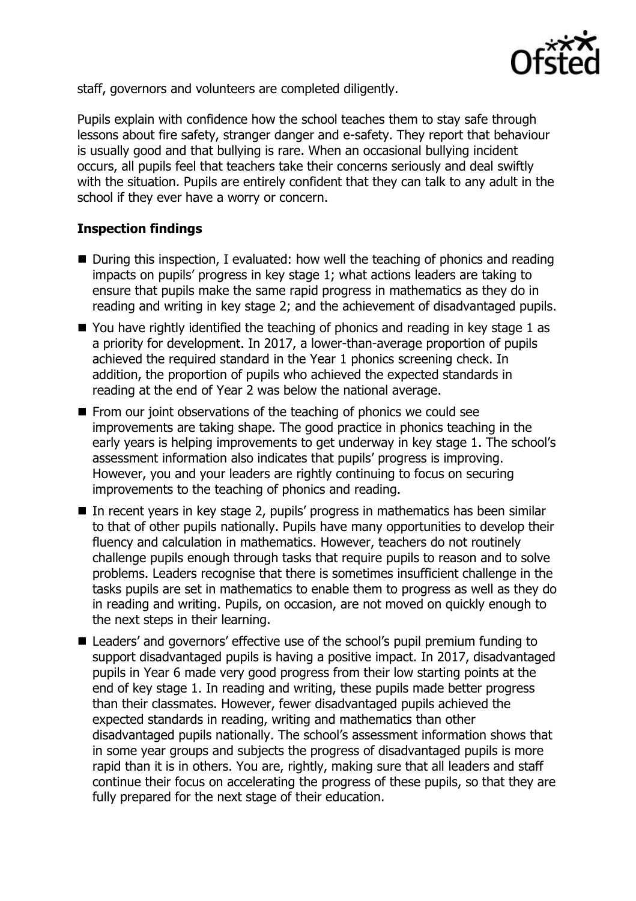

staff, governors and volunteers are completed diligently.

Pupils explain with confidence how the school teaches them to stay safe through lessons about fire safety, stranger danger and e-safety. They report that behaviour is usually good and that bullying is rare. When an occasional bullying incident occurs, all pupils feel that teachers take their concerns seriously and deal swiftly with the situation. Pupils are entirely confident that they can talk to any adult in the school if they ever have a worry or concern.

## **Inspection findings**

- During this inspection, I evaluated: how well the teaching of phonics and reading impacts on pupils' progress in key stage 1; what actions leaders are taking to ensure that pupils make the same rapid progress in mathematics as they do in reading and writing in key stage 2; and the achievement of disadvantaged pupils.
- $\blacksquare$  You have rightly identified the teaching of phonics and reading in key stage 1 as a priority for development. In 2017, a lower-than-average proportion of pupils achieved the required standard in the Year 1 phonics screening check. In addition, the proportion of pupils who achieved the expected standards in reading at the end of Year 2 was below the national average.
- From our joint observations of the teaching of phonics we could see improvements are taking shape. The good practice in phonics teaching in the early years is helping improvements to get underway in key stage 1. The school's assessment information also indicates that pupils' progress is improving. However, you and your leaders are rightly continuing to focus on securing improvements to the teaching of phonics and reading.
- In recent years in key stage 2, pupils' progress in mathematics has been similar to that of other pupils nationally. Pupils have many opportunities to develop their fluency and calculation in mathematics. However, teachers do not routinely challenge pupils enough through tasks that require pupils to reason and to solve problems. Leaders recognise that there is sometimes insufficient challenge in the tasks pupils are set in mathematics to enable them to progress as well as they do in reading and writing. Pupils, on occasion, are not moved on quickly enough to the next steps in their learning.
- Leaders' and governors' effective use of the school's pupil premium funding to support disadvantaged pupils is having a positive impact. In 2017, disadvantaged pupils in Year 6 made very good progress from their low starting points at the end of key stage 1. In reading and writing, these pupils made better progress than their classmates. However, fewer disadvantaged pupils achieved the expected standards in reading, writing and mathematics than other disadvantaged pupils nationally. The school's assessment information shows that in some year groups and subjects the progress of disadvantaged pupils is more rapid than it is in others. You are, rightly, making sure that all leaders and staff continue their focus on accelerating the progress of these pupils, so that they are fully prepared for the next stage of their education.